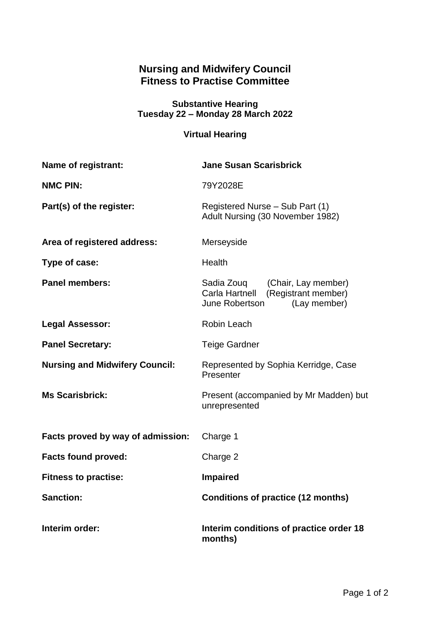## **Nursing and Midwifery Council Fitness to Practise Committee**

## **Substantive Hearing Tuesday 22 – Monday 28 March 2022**

## **Virtual Hearing**

| <b>Name of registrant:</b>            | <b>Jane Susan Scarisbrick</b>                                                                          |
|---------------------------------------|--------------------------------------------------------------------------------------------------------|
| <b>NMC PIN:</b>                       | 79Y2028E                                                                                               |
| Part(s) of the register:              | Registered Nurse - Sub Part (1)<br>Adult Nursing (30 November 1982)                                    |
| Area of registered address:           | Merseyside                                                                                             |
| Type of case:                         | <b>Health</b>                                                                                          |
| <b>Panel members:</b>                 | Sadia Zouq (Chair, Lay member)<br>Carla Hartnell (Registrant member)<br>June Robertson<br>(Lay member) |
| <b>Legal Assessor:</b>                | Robin Leach                                                                                            |
| <b>Panel Secretary:</b>               | <b>Teige Gardner</b>                                                                                   |
| <b>Nursing and Midwifery Council:</b> | Represented by Sophia Kerridge, Case<br>Presenter                                                      |
| <b>Ms Scarisbrick:</b>                | Present (accompanied by Mr Madden) but<br>unrepresented                                                |
| Facts proved by way of admission:     | Charge 1                                                                                               |
| <b>Facts found proved:</b>            | Charge 2                                                                                               |
| <b>Fitness to practise:</b>           | <b>Impaired</b>                                                                                        |
| <b>Sanction:</b>                      | <b>Conditions of practice (12 months)</b>                                                              |
| Interim order:                        | Interim conditions of practice order 18<br>months)                                                     |